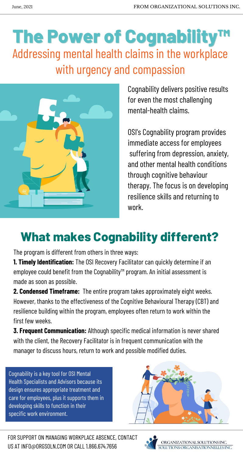The program is different from others in three ways:

**1. Timely Identification:** The OSI Recovery Facilitator can quickly determine if an employee could benefit from the Cognability™ program. An initial assessment is made as soon as possible.

**2. Condensed Timeframe:** The entire program takes approximately eight weeks. However, thanks to the effectiveness of the Cognitive Behavioural Therapy (CBT) and resilience building within the program, employees often return to work within the first few weeks.

# The Power of Cognability<sup>TM</sup> Addressing mental health claims in the workplace with urgency and compassion



**3. Frequent Communication:** Although specific medical information is never shared with the client, the Recovery Facilitator is in frequent communication with the manager to discuss hours, return to work and possible modified duties.

## **What makes Cognability different?**

Cognability is a key tool for OSI Mental Health Specialists and Advisors because its design ensures appropriate treatment and care for employees, plus it supports them in developing skills to function in their specific work environment.



FOR SUPPORT ON MANAGING WORKPLACE ABSENCE, CONTACT US AT INFO@ORGSOLN.COM OR CALL 1.866.674.7656



Cognability delivers positive results for even the most challenging mental-health claims.

OSI's Cognability program provides immediate access for employees suffering from depression, anxiety, and other mental health conditions through cognitive behaviour therapy. The focus is on developing resilience skills and returning to work.